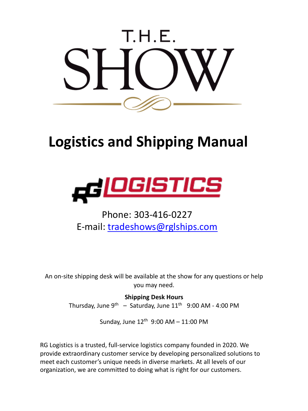

# **Logistics and Shipping Manual**



## Phone: 303-416-0227 E-mail: tradeshows@rglships.com

An on-site shipping desk will be available at the show for any questions or help you may need.

> **Shipping Desk Hours** Thursday, June  $9^{th}$  – Saturday, June  $11^{th}$  9:00 AM - 4:00 PM

> > Sunday, June  $12^{th}$  9:00 AM - 11:00 PM

RG Logistics is a trusted, full-service logistics company founded in 2020. We provide extraordinary customer service by developing personalized solutions to meet each customer's unique needs in diverse markets. At all levels of our organization, we are committed to doing what is right for our customers.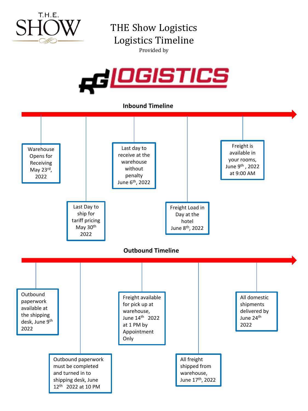

THE Show Logistics Logistics Timeline Provided by



**Inbound Timeline**

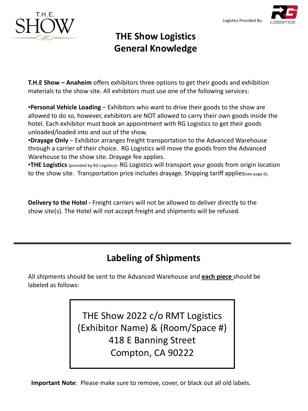

## **THE Show Logistics General Knowledge**

**T.H.E Show – Anaheim** offers exhibitors three options to get their goods and exhibition materials to the show site. All exhibitors must use one of the following services:

•**Personal Vehicle Loading** – Exhibitors who want to drive their goods to the show are allowed to do so, however, exhibitors are NOT allowed to carry their own goods inside the hotel. Each exhibitor must book an appointment with RG Logistics to get their goods unloaded/loaded into and out of the show.

•**Drayage Only** – Exhibitor arranges freight transportation to the Advanced Warehouse through a carrier of their choice. RG Logistics will move the goods from the Advanced Warehouse to the show site. Drayage fee applies.

•**THE Logistics** (provided by RG Logistics)– RG Logistics will transport your goods from origin location to the show site. Transportation price includes drayage. Shipping tariff applies(see page 6).

**Delivery to the Hotel -** Freight carriers will not be allowed to deliver directly to the show site(s). The Hotel will not accept freight and shipments will be refused.

## **Labeling of Shipments**

All shipments should be sent to the Advanced Warehouse and **each piece** should be labeled as follows:

> THE Show 2022 c/o RMT Logistics (Exhibitor Name) & (Room/Space #) 418 E Banning Street Compton, CA 90222

**Important Note**: Please make sure to remove, cover, or black out all old labels.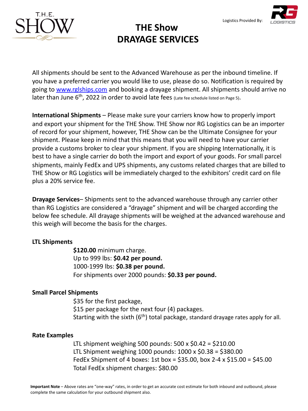



**THE Show DRAYAGE SERVICES**

All shipments should be sent to the Advanced Warehouse as per the inbound timeline. If you have a preferred carrier you would like to use, please do so. Notification is required by going to www.rglships.com and booking a drayage shipment. All shipments should arrive no later than June 6<sup>th</sup>, 2022 in order to avoid late fees (Late fee schedule listed on Page 5).

**International Shipments** – Please make sure your carriers know how to properly import and export your shipment for the THE Show. THE Show nor RG Logistics can be an importer of record for your shipment, however, THE Show can be the Ultimate Consignee for your shipment. Please keep in mind that this means that you will need to have your carrier provide a customs broker to clear your shipment. If you are shipping Internationally, it is best to have a single carrier do both the import and export of your goods. For small parcel shipments, mainly FedEx and UPS shipments, any customs related charges that are billed to THE Show or RG Logistics will be immediately charged to the exhibitors' credit card on file plus a 20% service fee.

**Drayage Services**– Shipments sent to the advanced warehouse through any carrier other than RG Logistics are considered a "drayage" shipment and will be charged according the below fee schedule. All drayage shipments will be weighed at the advanced warehouse and this weigh will become the basis for the charges.

### **LTL Shipments**

**\$120.00** minimum charge. Up to 999 lbs: **\$0.42 per pound.**  1000-1999 lbs: **\$0.38 per pound.**  For shipments over 2000 pounds: **\$0.33 per pound.**

### **Small Parcel Shipments**

\$35 for the first package, \$15 per package for the next four (4) packages. Starting with the sixth  $(6<sup>th</sup>)$  total package, standard drayage rates apply for all.

### **Rate Examples**

LTL shipment weighing 500 pounds:  $500 \times $0.42 = $210.00$ LTL Shipment weighing 1000 pounds: 1000 x \$0.38 = \$380.00 FedEx Shipment of 4 boxes: 1st box = \$35.00, box 2-4 x \$15.00 = \$45.00 Total FedEx shipment charges: \$80.00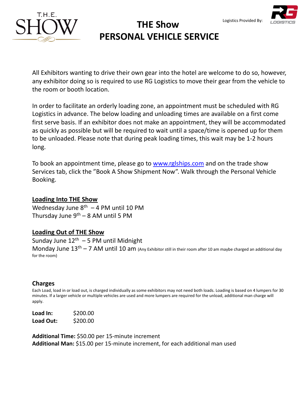



### **THE Show PERSONAL VEHICLE SERVICE** Logistics Provided By:

All Exhibitors wanting to drive their own gear into the hotel are welcome to do so, however, any exhibitor doing so is required to use RG Logistics to move their gear from the vehicle to the room or booth location.

In order to facilitate an orderly loading zone, an appointment must be scheduled with RG Logistics in advance. The below loading and unloading times are available on a first come first serve basis. If an exhibitor does not m[ake an appointment](http://www.rglships.com/), they will be accommodated as quickly as possible but will be required to wait until a space/time is opened up for them to be unloaded. Please note that during peak loading times, this wait may be 1-2 hours long.

To book an appointment time, please go to www.rglships.com and on the trade show Services tab, click the "Book A Show Shipment Now". Walk through the Personal Vehicle Booking.

### **Loading Into THE Show**

Wednesday June  $8<sup>th</sup> - 4$  PM until 10 PM Thursday June  $9^{th} - 8$  AM until 5 PM

### **Loading Out of THE Show**

Sunday June  $12^{th}$  – 5 PM until Midnight Monday June  $13<sup>th</sup> - 7$  AM until 10 am (Any Exhibitor still in their room after 10 am maybe charged an additional day for the room)

### **Charges**

Each Load, load in or load out, is charged individually as some exhibitors may not need both loads. Loading is based on 4 lumpers for 30 minutes. If a larger vehicle or multiple vehicles are used and more lumpers are required for the unload, additional man charge will apply.

**Load In:** \$200.00 **Load Out:** \$200.00

**Additional Time:** \$50.00 per 15-minute increment **Additional Man:** \$15.00 per 15-minute increment, for each additional man used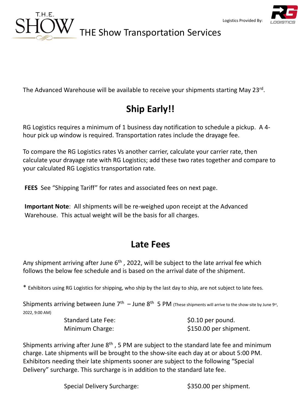



## THE Show Transportation Services

The Advanced Warehouse will be available to receive your shipments starting May 23rd.

## **Ship Early!!**

RG Logistics requires a minimum of 1 business day notification to schedule a pickup. A 4 hour pick up window is required. Transportation rates include the drayage fee.

To compare the RG Logistics rates Vs another carrier, calculate your carrier rate, then calculate your drayage rate with RG Logistics; add these two rates together and compare to your calculated RG Logistics transportation rate.

**FEES** See "Shipping Tariff" for rates and associated fees on next page.

**Important Note**: All shipments will be re-weighed upon receipt at the Advanced Warehouse. This actual weight will be the basis for all charges.

## **Late Fees**

Any shipment arriving after June  $6<sup>th</sup>$ , 2022, will be subject to the late arrival fee which follows the below fee schedule and is based on the arrival date of the shipment.

\* Exhibitors using RG Logistics for shipping, who ship by the last day to ship, are not subject to late fees.

Shipments arriving between June  $7<sup>th</sup>$  – June  $8<sup>th</sup>$  5 PM (These shipments will arrive to the show-site by June 9st, 2022, 9:00 AM)

Standard Late Fee:  $$0.10$  per pound.

Minimum Charge:  $$150.00$  per shipment.

Shipments arriving after June  $8<sup>th</sup>$ , 5 PM are subject to the standard late fee and minimum charge. Late shipments will be brought to the show-site each day at or about 5:00 PM. Exhibitors needing their late shipments sooner are subject to the following "Special Delivery" surcharge. This surcharge is in addition to the standard late fee.

Special Delivery Surcharge:  $$350.00$  per shipment.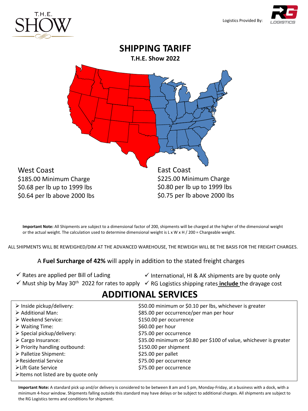

Logistics Provided By:



**Important Note:** All Shipments are subject to a dimensional factor of 200, shipments will be charged at the higher of the dimensional weight or the actual weight. The calculation used to determine dimensional weight is L x W x H / 200 = Chargeable weight.

ALL SHIPMENTS WILL BE REWEIGHED/DIM AT THE ADVANCED WAREHOUSE, THE REWEIGH WILL BE THE BASIS FOR THE FREIGHT CHARGES.

A **Fuel Surcharge of 42%** will apply in addition to the stated freight charges

- $\checkmark$  Rates are applied per Bill of Lading
- $\checkmark$  International, HI & AK shipments are by quote only
- √ Must ship by May 30<sup>th</sup> 2022 for rates to apply √ RG Logistics shipping rates **include** the drayage cost

### **ADDITIONAL SERVICES**

| $\triangleright$ Inside pickup/delivery:                                  | \$50.00 minimum or \$0.10 per lbs, whichever is greater            |
|---------------------------------------------------------------------------|--------------------------------------------------------------------|
| $\triangleright$ Additional Man:                                          | \$85.00 per occurrence/per man per hour                            |
| $\triangleright$ Weekend Service:                                         | \$150.00 per occurrence                                            |
| $\triangleright$ Waiting Time:                                            | \$60.00 per hour                                                   |
| $\triangleright$ Special pickup/delivery:                                 | \$75.00 per occurrence                                             |
| $\triangleright$ Cargo Insurance:                                         | \$35.00 minimum or \$0.80 per \$100 of value, whichever is greater |
| $\triangleright$ Priority handling outbound:                              | \$150.00 per shipment                                              |
| > Palletize Shipment:                                                     | \$25.00 per pallet                                                 |
| ≻Residential Service                                                      | \$75.00 per occurrence                                             |
| ≻Lift Gate Service<br>$\triangleright$ Items not listed are by quote only | \$75.00 per occurrence                                             |

**Important Note:** A standard pick up and/or delivery is considered to be between 8 am and 5 pm, Monday-Friday, at a business with a dock, with a minimum 4-hour window. Shipments falling outside this standard may have delays or be subject to additional charges. All shipments are subject to the RG Logistics terms and conditions for shipment.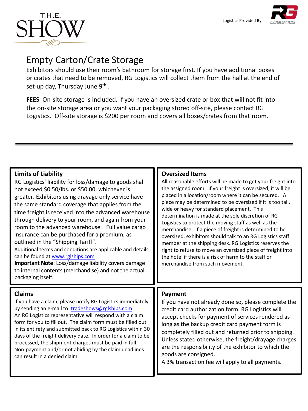



## Empty Carton/Crate Storage

Exhibitors should use their room's bathroom for storage first. If you have additional boxes or crates that need to be removed, RG Logistics will collect them from the hall at the end of set-up day, Thursday June  $9<sup>th</sup>$ .

**FEES** On-site storage is included. If you have an oversized crate or box that will not fit into the on-site storage area or you want your packaging stored off-site, please contact RG Logistics. Off-site storage is \$200 per room and covers all boxes/crates from that room.

### **Limits of Liability**

RG Logistics' liability for loss/damage to goods shall not exceed \$0.50/lbs. or \$50.00, whichever is greater. Exhibitors using drayage only service have the same standard coverage that applies from the time freight is [received into the](http://www.rglships.com/) advanced warehouse through delivery to your room, and again from your room to the advanced warehouse. Full value cargo insurance can be purchased for a premium, as outlined in the "Shipping Tariff".

Additional terms and conditions are applicable and details can be found at www.rglships.com

**Important Note**: Loss/damage liability covers damage to internal contents (m[erchandise\) and not the a](mailto:tradeshows@rglships.com)ctual packaging itself.

### **Claims**

If you have a claim, please notify RG Logistics immediately by sending an e-mail to: tradeshows@rglships.com An RG Logistics representative will respond with a claim form for you to fill out. The claim form must be filled out in its entirety and submitted back to RG Logistics within 30 days of the freight delivery date. In order for a claim to be processed, the shipment charges must be paid in full. Non-payment and/or not abiding by the claim deadlines can result in a denied claim.

### **Oversized Items**

All reasonable efforts will be made to get your freight into the assigned room. If your freight is oversized, it will be placed in a location/room where it can be secured. A piece may be determined to be oversized if it is too tall, wide or heavy for standard placement. This determination is made at the sole discretion of RG Logistics to protect the moving staff as well as the merchandise. If a piece of freight is determined to be oversized, exhibitors should talk to an RG Logistics staff member at the shipping desk. RG Logistics reserves the right to refuse to move an oversized piece of freight into the hotel if there is a risk of harm to the staff or merchandise from such movement.

### **Payment**

If you have not already done so, please complete the credit card authorization form. RG Logistics will accept checks for payment of services rendered as long as the backup credit card payment form is completely filled out and returned prior to shipping. Unless stated otherwise, the freight/drayage charges are the responsibility of the exhibitor to which the goods are consigned.

A 3% transaction fee will apply to all payments.